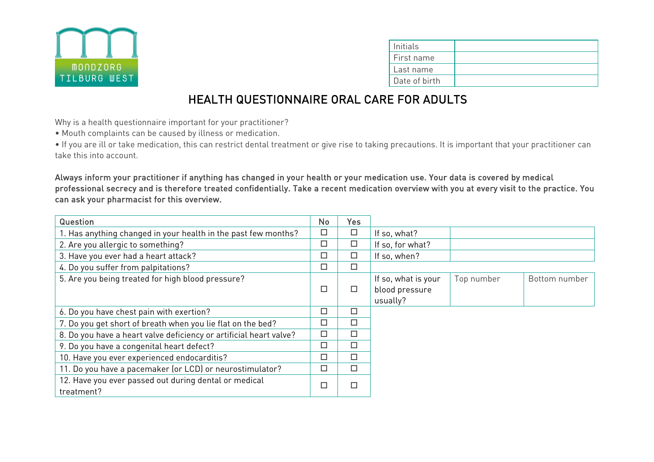

| Initials      |  |
|---------------|--|
| First name    |  |
| Last name     |  |
| Date of birth |  |

## HEALTH QUESTIONNAIRE ORAL CARE FOR ADULTS

Why is a health questionnaire important for your practitioner?

• Mouth complaints can be caused by illness or medication.

• If you are ill or take medication, this can restrict dental treatment or give rise to taking precautions. It is important that your practitioner can take this into account.

Always inform your practitioner if anything has changed in your health or your medication use. Your data is covered by medical professional secrecy and is therefore treated confidentially. Take a recent medication overview with you at every visit to the practice. You can ask your pharmacist for this overview.

| Question                                                            |   | Yes    |                     |            |               |
|---------------------------------------------------------------------|---|--------|---------------------|------------|---------------|
| 1. Has anything changed in your health in the past few months?      |   | $\Box$ | If so, what?        |            |               |
| 2. Are you allergic to something?                                   |   | □      | If so, for what?    |            |               |
| 3. Have you ever had a heart attack?                                |   | □      | If so, when?        |            |               |
| 4. Do you suffer from palpitations?                                 |   | П      |                     |            |               |
| 5. Are you being treated for high blood pressure?                   |   |        | If so, what is your | Top number | Bottom number |
|                                                                     | □ |        | blood pressure      |            |               |
|                                                                     |   |        | usually?            |            |               |
| 6. Do you have chest pain with exertion?                            | □ | □      |                     |            |               |
| 7. Do you get short of breath when you lie flat on the bed?         | □ | п      |                     |            |               |
| 8. Do you have a heart valve deficiency or artificial heart valve?  | □ | □      |                     |            |               |
| 9. Do you have a congenital heart defect?                           | □ | п      |                     |            |               |
| 10. Have you ever experienced endocarditis?                         |   | □      |                     |            |               |
| 11. Do you have a pacemaker (or LCD) or neurostimulator?            |   | □      |                     |            |               |
| 12. Have you ever passed out during dental or medical<br>treatment? |   | п      |                     |            |               |